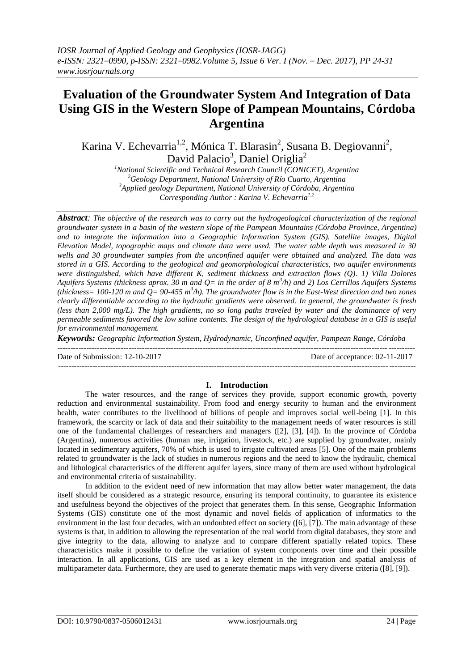# **Evaluation of the Groundwater System And Integration of Data Using GIS in the Western Slope of Pampean Mountains, Córdoba Argentina**

Karina V. Echevarria<sup>1,2</sup>, Mónica T. Blarasin<sup>2</sup>, Susana B. Degiovanni<sup>2</sup>, David Palacio<sup>3</sup>, Daniel Origlia<sup>2</sup>

*National Scientific and Technical Research Council (CONICET), Argentina Geology Department, National University of Río Cuarto, Argentina Applied geology Department, National University of Córdoba, Argentina Corresponding Author : Karina V. Echevarria1,2*

*Abstract: The objective of the research was to carry out the hydrogeological characterization of the regional groundwater system in a basin of the western slope of the Pampean Mountains (Córdoba Province, Argentina) and to integrate the information into a Geographic Information System (GIS). Satellite images, Digital Elevation Model, topographic maps and climate data were used. The water table depth was measured in 30 wells and 30 groundwater samples from the unconfined aquifer were obtained and analyzed. The data was stored in a GIS. According to the geological and geomorphological characteristics, two aquifer environments were distinguished, which have different K, sediment thickness and extraction flows (Q). 1) Villa Dolores Aquifers Systems (thickness aprox. 30 m and Q= in the order of 8 m<sup>3</sup> /h) and 2) Los Cerrillos Aquifers Systems*  (thickness=  $100-120$  m and  $Q= 90-455$  m<sup>3</sup>/h). The groundwater flow is in the East-West direction and two zones *clearly differentiable according to the hydraulic gradients were observed. In general, the groundwater is fresh (less than 2,000 mg/L). The high gradients, no so long paths traveled by water and the dominance of very permeable sediments favored the low saline contents. The design of the hydrological database in a GIS is useful for environmental management.*

*Keywords: Geographic Information System, Hydrodynamic, Unconfined aquifer, Pampean Range, Córdoba*

 $-1.1$ 

Date of Submission: 12-10-2017 Date of acceptance: 02-11-2017

#### **I. Introduction**

The water resources, and the range of services they provide, support economic growth, poverty reduction and environmental sustainability. From food and energy security to human and the environment health, water contributes to the livelihood of billions of people and improves social well-being [1]. In this framework, the scarcity or lack of data and their suitability to the management needs of water resources is still one of the fundamental challenges of researchers and managers ([2], [3], [4]). In the province of Córdoba (Argentina), numerous activities (human use, irrigation, livestock, etc.) are supplied by groundwater, mainly located in sedimentary aquifers, 70% of which is used to irrigate cultivated areas [5]. One of the main problems related to groundwater is the lack of studies in numerous regions and the need to know the hydraulic, chemical and lithological characteristics of the different aquifer layers, since many of them are used without hydrological and environmental criteria of sustainability.

In addition to the evident need of new information that may allow better water management, the data itself should be considered as a strategic resource, ensuring its temporal continuity, to guarantee its existence and usefulness beyond the objectives of the project that generates them. In this sense, Geographic Information Systems (GIS) constitute one of the most dynamic and novel fields of application of informatics to the environment in the last four decades, with an undoubted effect on society ([6], [7]). The main advantage of these systems is that, in addition to allowing the representation of the real world from digital databases, they store and give integrity to the data, allowing to analyze and to compare different spatially related topics. These characteristics make it possible to define the variation of system components over time and their possible interaction. In all applications, GIS are used as a key element in the integration and spatial analysis of multiparameter data. Furthermore, they are used to generate thematic maps with very diverse criteria ([8], [9]).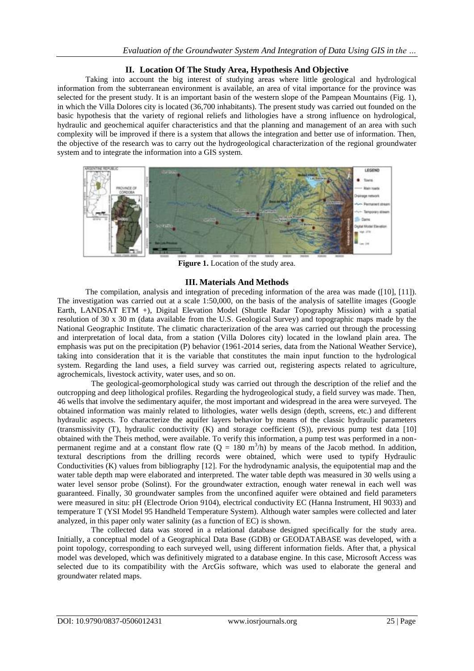# **II. Location Of The Study Area, Hypothesis And Objective**

Taking into account the big interest of studying areas where little geological and hydrological information from the subterranean environment is available, an area of vital importance for the province was selected for the present study. It is an important basin of the western slope of the Pampean Mountains (Fig. 1), in which the Villa Dolores city is located (36,700 inhabitants). The present study was carried out founded on the basic hypothesis that the variety of regional reliefs and lithologies have a strong influence on hydrological, hydraulic and geochemical aquifer characteristics and that the planning and management of an area with such complexity will be improved if there is a system that allows the integration and better use of information. Then, the objective of the research was to carry out the hydrogeological characterization of the regional groundwater system and to integrate the information into a GIS system.



**Figure 1.** Location of the study area.

# **III. Materials And Methods**

The compilation, analysis and integration of preceding information of the area was made ([10], [11]). The investigation was carried out at a scale 1:50,000, on the basis of the analysis of satellite images (Google Earth, LANDSAT ETM +), Digital Elevation Model (Shuttle Radar Topography Mission) with a spatial resolution of 30 x 30 m (data available from the U.S. Geological Survey) and topographic maps made by the National Geographic Institute. The climatic characterization of the area was carried out through the processing and interpretation of local data, from a station (Villa Dolores city) located in the lowland plain area. The emphasis was put on the precipitation (P) behavior (1961-2014 series, data from the National Weather Service), taking into consideration that it is the variable that constitutes the main input function to the hydrological system. Regarding the land uses, a field survey was carried out, registering aspects related to agriculture, agrochemicals, livestock activity, water uses, and so on.

The geological-geomorphological study was carried out through the description of the relief and the outcropping and deep lithological profiles. Regarding the hydrogeological study, a field survey was made. Then, 46 wells that involve the sedimentary aquifer, the most important and widespread in the area were surveyed. The obtained information was mainly related to lithologies, water wells design (depth, screens, etc.) and different hydraulic aspects. To characterize the aquifer layers behavior by means of the classic hydraulic parameters (transmissivity (T), hydraulic conductivity (K) and storage coefficient (S)), previous pump test data [10] obtained with the Theis method, were available. To verify this information, a pump test was performed in a nonpermanent regime and at a constant flow rate  $(Q = 180 \text{ m}^3/\text{h})$  by means of the Jacob method. In addition, textural descriptions from the drilling records were obtained, which were used to typify Hydraulic Conductivities (K) values from bibliography [12]. For the hydrodynamic analysis, the equipotential map and the water table depth map were elaborated and interpreted. The water table depth was measured in 30 wells using a water level sensor probe (Solinst). For the groundwater extraction, enough water renewal in each well was guaranteed. Finally, 30 groundwater samples from the unconfined aquifer were obtained and field parameters were measured in situ: pH (Electrode Orion 9104), electrical conductivity EC (Hanna Instrument, HI 9033) and temperature T (YSI Model 95 Handheld Temperature System). Although water samples were collected and later analyzed, in this paper only water salinity (as a function of EC) is shown.

The collected data was stored in a relational database designed specifically for the study area. Initially, a conceptual model of a Geographical Data Base (GDB) or GEODATABASE was developed, with a point topology, corresponding to each surveyed well, using different information fields. After that, a physical model was developed, which was definitively migrated to a database engine. In this case, Microsoft Access was selected due to its compatibility with the ArcGis software, which was used to elaborate the general and groundwater related maps.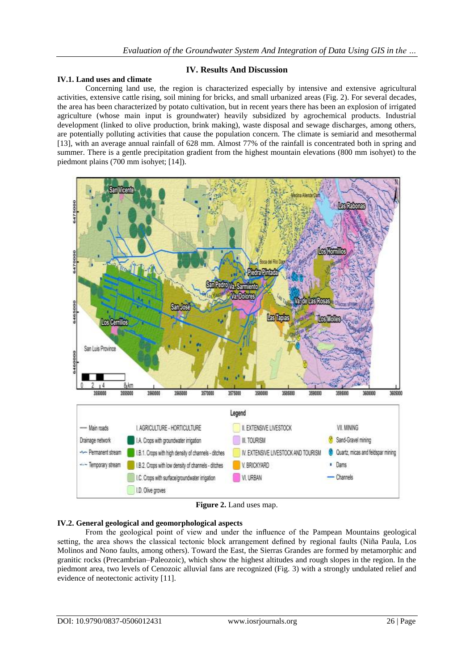## **IV. Results And Discussion**

### **IV.1. Land uses and climate**

Concerning land use, the region is characterized especially by intensive and extensive agricultural activities, extensive cattle rising, soil mining for bricks, and small urbanized areas (Fig. 2). For several decades, the area has been characterized by potato cultivation, but in recent years there has been an explosion of irrigated agriculture (whose main input is groundwater) heavily subsidized by agrochemical products. Industrial development (linked to olive production, brink making), waste disposal and sewage discharges, among others, are potentially polluting activities that cause the population concern. The climate is semiarid and mesothermal [13], with an average annual rainfall of 628 mm. Almost 77% of the rainfall is concentrated both in spring and summer. There is a gentle precipitation gradient from the highest mountain elevations (800 mm isohyet) to the piedmont plains (700 mm isohyet; [14]).



**Figure 2.** Land uses map.

## **IV.2. General geological and geomorphological aspects**

From the geological point of view and under the influence of the Pampean Mountains geological setting, the area shows the classical tectonic block arrangement defined by regional faults (Niña Paula, Los Molinos and Nono faults, among others). Toward the East, the Sierras Grandes are formed by metamorphic and granitic rocks (Precambrian–Paleozoic), which show the highest altitudes and rough slopes in the region. In the piedmont area, two levels of Cenozoic alluvial fans are recognized (Fig. 3) with a strongly undulated relief and evidence of neotectonic activity [11].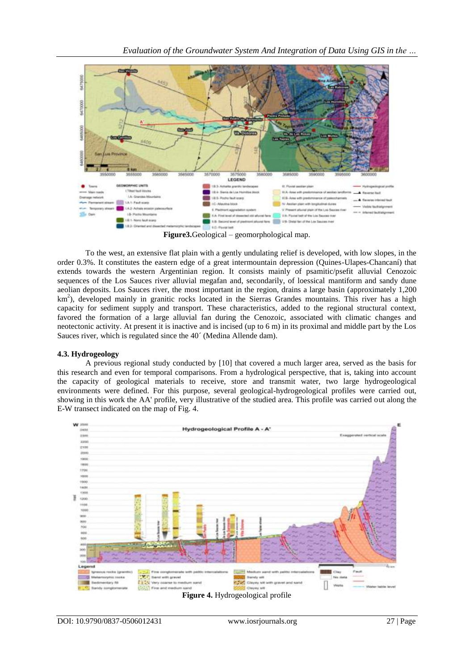

**Figure3.**Geological – geomorphological map.

To the west, an extensive flat plain with a gently undulating relief is developed, with low slopes, in the order 0.3%. It constitutes the eastern edge of a great intermountain depression (Quines-Ulapes-Chancaní) that extends towards the western Argentinian region. It consists mainly of psamitic/psefit alluvial Cenozoic sequences of the Los Sauces river alluvial megafan and, secondarily, of loessical mantiform and sandy dune aeolian deposits. Los Sauces river, the most important in the region, drains a large basin (approximately 1,200 km<sup>2</sup>), developed mainly in granitic rocks located in the Sierras Grandes mountains. This river has a high capacity for sediment supply and transport. These characteristics, added to the regional structural context, favored the formation of a large alluvial fan during the Cenozoic, associated with climatic changes and neotectonic activity. At present it is inactive and is incised (up to 6 m) in its proximal and middle part by the Los Sauces river, which is regulated since the 40´ (Medina Allende dam).

## **4.3. Hydrogeology**

A previous regional study conducted by [10] that covered a much larger area, served as the basis for this research and even for temporal comparisons. From a hydrological perspective, that is, taking into account the capacity of geological materials to receive, store and transmit water, two large hydrogeological environments were defined. For this purpose, several geological-hydrogeological profiles were carried out, showing in this work the AA' profile, very illustrative of the studied area. This profile was carried out along the E-W transect indicated on the map of Fig. 4.

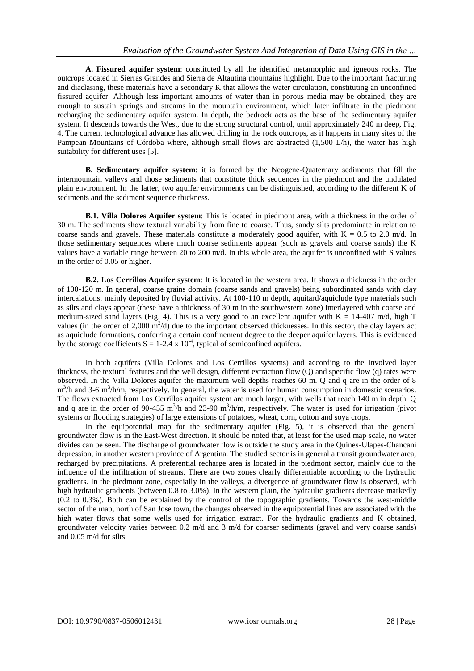**A. Fissured aquifer system**: constituted by all the identified metamorphic and igneous rocks. The outcrops located in Sierras Grandes and Sierra de Altautina mountains highlight. Due to the important fracturing and diaclasing, these materials have a secondary K that allows the water circulation, constituting an unconfined fissured aquifer. Although less important amounts of water than in porous media may be obtained, they are enough to sustain springs and streams in the mountain environment, which later infiltrate in the piedmont recharging the sedimentary aquifer system. In depth, the bedrock acts as the base of the sedimentary aquifer system. It descends towards the West, due to the strong structural control, until approximately 240 m deep, Fig. 4. The current technological advance has allowed drilling in the rock outcrops, as it happens in many sites of the Pampean Mountains of Córdoba where, although small flows are abstracted (1,500 L/h), the water has high suitability for different uses [5].

**B. Sedimentary aquifer system**: it is formed by the Neogene-Quaternary sediments that fill the intermountain valleys and those sediments that constitute thick sequences in the piedmont and the undulated plain environment. In the latter, two aquifer environments can be distinguished, according to the different K of sediments and the sediment sequence thickness.

**B.1. Villa Dolores Aquifer system**: This is located in piedmont area, with a thickness in the order of 30 m. The sediments show textural variability from fine to coarse. Thus, sandy silts predominate in relation to coarse sands and gravels. These materials constitute a moderately good aquifer, with  $K = 0.5$  to 2.0 m/d. In those sedimentary sequences where much coarse sediments appear (such as gravels and coarse sands) the K values have a variable range between 20 to 200 m/d. In this whole area, the aquifer is unconfined with S values in the order of 0.05 or higher.

**B.2. Los Cerrillos Aquifer system**: It is located in the western area. It shows a thickness in the order of 100-120 m. In general, coarse grains domain (coarse sands and gravels) being subordinated sands with clay intercalations, mainly deposited by fluvial activity. At 100-110 m depth, aquitard/aquiclude type materials such as silts and clays appear (these have a thickness of 30 m in the southwestern zone) interlayered with coarse and medium-sized sand layers (Fig. 4). This is a very good to an excellent aquifer with  $K = 14-407$  m/d, high T values (in the order of 2,000  $\text{m}^2$ /d) due to the important observed thicknesses. In this sector, the clay layers act as aquiclude formations, conferring a certain confinement degree to the deeper aquifer layers. This is evidenced by the storage coefficients  $S = 1-2.4 \times 10^{-4}$ , typical of semiconfined aquifers.

In both aquifers (Villa Dolores and Los Cerrillos systems) and according to the involved layer thickness, the textural features and the well design, different extraction flow (Q) and specific flow (q) rates were observed. In the Villa Dolores aquifer the maximum well depths reaches 60 m. Q and q are in the order of 8 m<sup>3</sup>/h and 3-6 m<sup>3</sup>/h/m, respectively. In general, the water is used for human consumption in domestic scenarios. The flows extracted from Los Cerrillos aquifer system are much larger, with wells that reach 140 m in depth. Q and q are in the order of 90-455 m<sup>3</sup>/h and 23-90 m<sup>3</sup>/h/m, respectively. The water is used for irrigation (pivot systems or flooding strategies) of large extensions of potatoes, wheat, corn, cotton and soya crops.

In the equipotential map for the sedimentary aquifer (Fig. 5), it is observed that the general groundwater flow is in the East-West direction. It should be noted that, at least for the used map scale, no water divides can be seen. The discharge of groundwater flow is outside the study area in the Quines-Ulapes-Chancaní depression, in another western province of Argentina. The studied sector is in general a transit groundwater area, recharged by precipitations. A preferential recharge area is located in the piedmont sector, mainly due to the influence of the infiltration of streams. There are two zones clearly differentiable according to the hydraulic gradients. In the piedmont zone, especially in the valleys, a divergence of groundwater flow is observed, with high hydraulic gradients (between 0.8 to 3.0%). In the western plain, the hydraulic gradients decrease markedly (0.2 to 0.3%). Both can be explained by the control of the topographic gradients. Towards the west-middle sector of the map, north of San Jose town, the changes observed in the equipotential lines are associated with the high water flows that some wells used for irrigation extract. For the hydraulic gradients and K obtained, groundwater velocity varies between 0.2 m/d and 3 m/d for coarser sediments (gravel and very coarse sands) and 0.05 m/d for silts.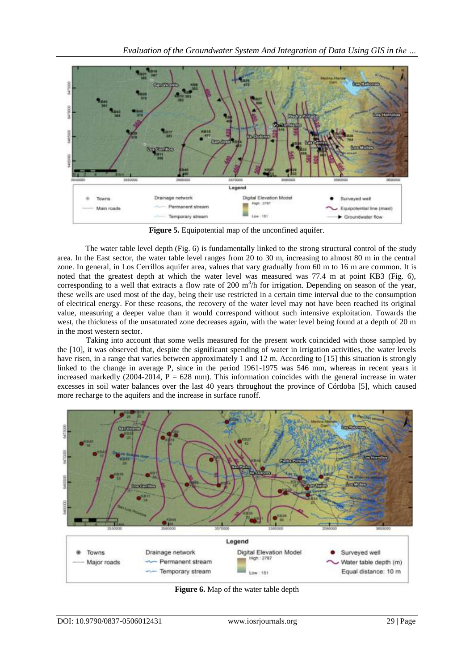

**Figure 5.** Equipotential map of the unconfined aquifer.

The water table level depth (Fig. 6) is fundamentally linked to the strong structural control of the study area. In the East sector, the water table level ranges from 20 to 30 m, increasing to almost 80 m in the central zone. In general, in Los Cerrillos aquifer area, values that vary gradually from 60 m to 16 m are common. It is noted that the greatest depth at which the water level was measured was 77.4 m at point KB3 (Fig. 6), corresponding to a well that extracts a flow rate of 200  $m<sup>3</sup>/h$  for irrigation. Depending on season of the year, these wells are used most of the day, being their use restricted in a certain time interval due to the consumption of electrical energy. For these reasons, the recovery of the water level may not have been reached its original value, measuring a deeper value than it would correspond without such intensive exploitation. Towards the west, the thickness of the unsaturated zone decreases again, with the water level being found at a depth of 20 m in the most western sector.

Taking into account that some wells measured for the present work coincided with those sampled by the [10], it was observed that, despite the significant spending of water in irrigation activities, the water levels have risen, in a range that varies between approximately 1 and 12 m. According to [15] this situation is strongly linked to the change in average P, since in the period 1961-1975 was 546 mm, whereas in recent years it increased markedly  $(2004-2014, P = 628$  mm). This information coincides with the general increase in water excesses in soil water balances over the last 40 years throughout the province of Córdoba [5], which caused more recharge to the aquifers and the increase in surface runoff.



**Figure 6.** Map of the water table depth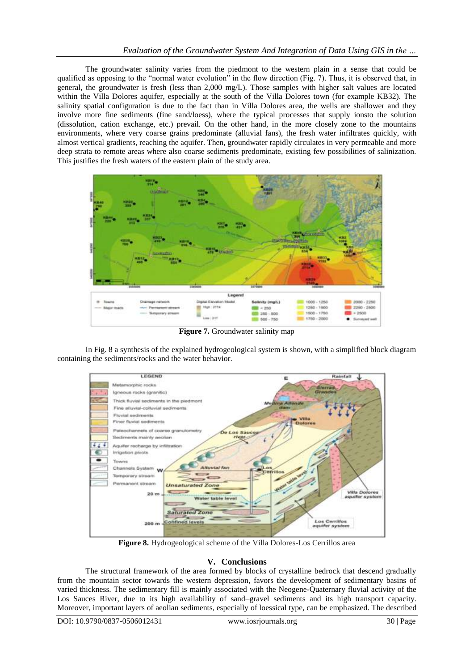The groundwater salinity varies from the piedmont to the western plain in a sense that could be qualified as opposing to the "normal water evolution" in the flow direction (Fig. 7). Thus, it is observed that, in general, the groundwater is fresh (less than 2,000 mg/L). Those samples with higher salt values are located within the Villa Dolores aquifer, especially at the south of the Villa Dolores town (for example KB32). The salinity spatial configuration is due to the fact than in Villa Dolores area, the wells are shallower and they involve more fine sediments (fine sand/loess), where the typical processes that supply ionsto the solution (dissolution, cation exchange, etc.) prevail. On the other hand, in the more closely zone to the mountains environments, where very coarse grains predominate (alluvial fans), the fresh water infiltrates quickly, with almost vertical gradients, reaching the aquifer. Then, groundwater rapidly circulates in very permeable and more deep strata to remote areas where also coarse sediments predominate, existing few possibilities of salinization. This justifies the fresh waters of the eastern plain of the study area.



**Figure 7.** Groundwater salinity map

In Fig. 8 a synthesis of the explained hydrogeological system is shown, with a simplified block diagram containing the sediments/rocks and the water behavior.



**Figure 8.** Hydrogeological scheme of the Villa Dolores-Los Cerrillos area

## **V. Conclusions**

The structural framework of the area formed by blocks of crystalline bedrock that descend gradually from the mountain sector towards the western depression, favors the development of sedimentary basins of varied thickness. The sedimentary fill is mainly associated with the Neogene-Quaternary fluvial activity of the Los Sauces River, due to its high availability of sand–gravel sediments and its high transport capacity. Moreover, important layers of aeolian sediments, especially of loessical type, can be emphasized. The described